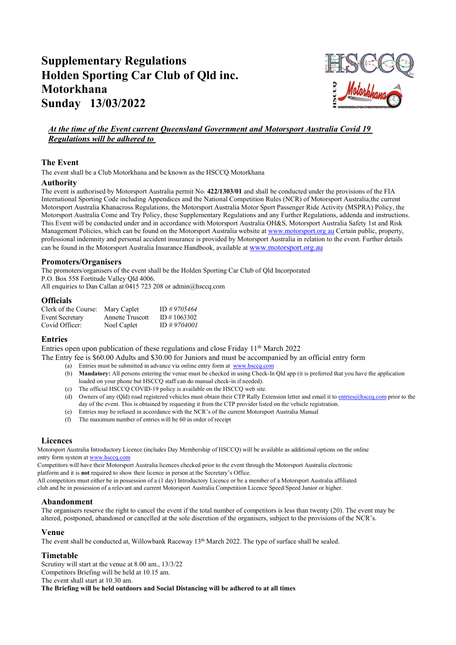# Supplementary Regulations Holden Sporting Car Club of Qld inc. Motorkhana Sunday 13/03/2022



## At the time of the Event current Queensland Government and Motorsport Australia Covid 19 Regulations will be adhered to

## The Event

The event shall be a Club Motorkhana and be known as the HSCCQ Motorkhana

#### Authority

The event is authorised by Motorsport Australia permit No. 422/1303/01 and shall be conducted under the provisions of the FIA International Sporting Code including Appendices and the National Competition Rules (NCR) of Motorsport Australia, the current Motorsport Australia Khanacross Regulations, the Motorsport Australia Motor Sport Passenger Ride Activity (MSPRA) Policy, the Motorsport Australia Come and Try Policy, these Supplementary Regulations and any Further Regulations, addenda and instructions. This Event will be conducted under and in accordance with Motorsport Australia OH&S, Motorsport Australia Safety 1st and Risk Management Policies, which can be found on the Motorsport Australia website at www.motorsport.org au Certain public, property, professional indemnity and personal accident insurance is provided by Motorsport Australia in relation to the event. Further details can be found in the Motorsport Australia Insurance Handbook, available at www.motorsport.org.au

## Promoters/Organisers

The promoters/organisers of the event shall be the Holden Sporting Car Club of Qld Incorporated P.O. Box 558 Fortitude Valley Qld 4006.

All enquiries to Dan Callan at 0415 723 208 or admin@hsccq.com

#### **Officials**

| Clerk of the Course:   | Mary Caplet             | ID #9705464 |
|------------------------|-------------------------|-------------|
| <b>Event Secretary</b> | <b>Annette Truscott</b> | ID#1063302  |
| Covid Officer:         | Noel Caplet             | ID #9704001 |

## Entries

Entries open upon publication of these regulations and close Friday  $11<sup>th</sup>$  March 2022

The Entry fee is \$60.00 Adults and \$30.00 for Juniors and must be accompanied by an official entry form

- (a) Entries must be submitted in advance via online entry form at www.hsccq.com
- (b) Mandatory: All persons entering the venue must be checked in using Check-In Qld app (it is preferred that you have the application loaded on your phone but HSCCQ staff can do manual check-in if needed).
- (c) The official HSCCQ COVID-19 policy is available on the HSCCQ web site.
- (d) Owners of any (Qld) road registered vehicles must obtain their CTP Rally Extension letter and email it to entries@hsccq.com prior to the day of the event. This is obtained by requesting it from the CTP provider listed on the vehicle registration.
- (e) Entries may be refused in accordance with the NCR's of the current Motorsport Australia Manual
- (f) The maximum number of entries will be 60 in order of receipt

## Licences

Motorsport Australia Introductory Licence (includes Day Membership of HSCCQ) will be available as additional options on the online entry form system at www.hsccq.com

Competitors will have their Motorsport Australia licences checked prior to the event through the Motorsport Australia electronic platform and it is not required to show their licence in person at the Secretary's Office.

All competitors must either be in possession of a (1 day) Introductory Licence or be a member of a Motorsport Australia affiliated

club and be in possession of a relevant and current Motorsport Australia Competition Licence Speed/Speed Junior or higher.

#### Abandonment

The organisers reserve the right to cancel the event if the total number of competitors is less than twenty (20). The event may be altered, postponed, abandoned or cancelled at the sole discretion of the organisers, subject to the provisions of the NCR's.

#### Venue

The event shall be conducted at, Willowbank Raceway  $13<sup>th</sup>$  March 2022. The type of surface shall be sealed.

## Timetable

Scrutiny will start at the venue at 8.00 am., 13/3/22 Competitors Briefing will be held at 10.15 am. The event shall start at 10.30 am. The Briefing will be held outdoors and Social Distancing will be adhered to at all times